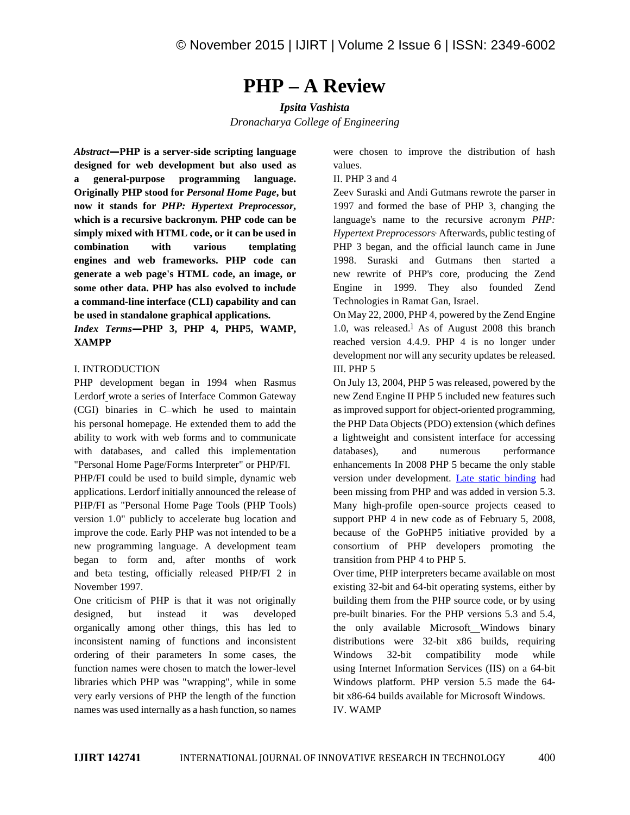# **PHP – A Review**

*Ipsita Vashista Dronacharya College of Engineering*

*Abstract—***PHP is a server-side scripting language designed for web development but also used as a general-purpose programming language. Originally PHP stood for** *Personal Home Page***, but now it stands for** *PHP: Hypertext Preprocessor***, which is a recursive backronym. PHP code can be simply mixed with HTML code, or it can be used in combination with various templating engines and web frameworks. PHP code can generate a web page's HTML code, an image, or some other data. PHP has also evolved to include a command-line interface (CLI) capability and can be used in standalone graphical applications.**

*Index Terms—***PHP 3, PHP 4, PHP5, WAMP, XAMPP**

### I. INTRODUCTION

PHP development began in 1994 when Rasmus Lerdorf wrote a series of Interface Common Gateway (CGI) binaries in C-which he used to maintain his personal homepage. He extended them to add the ability to work with web forms and to communicate with databases, and called this implementation databases), "Personal Home Page/Forms Interpreter" or PHP/FI.

PHP/FI could be used to build simple, dynamic web applications. Lerdorf initially announced the release of PHP/FI as "Personal Home Page Tools (PHP Tools) version 1.0" publicly to accelerate bug location and improve the code. Early PHP was not intended to be a new programming language. A development team began to form and, after months of work and beta testing, officially released PHP/FI 2 in November 1997.

One criticism of PHP is that it was not originally designed, but instead it was developed organically among other things, this has led to inconsistent naming of functions and inconsistent ordering of their parameters In some cases, the function names were chosen to match the lower-level libraries which PHP was "wrapping", while in some very early versions of PHP the length of the function names was used internally as a hash function, so names were chosen to improve the distribution of hash values.

## II. PHP 3 and 4

Zeev Suraski and Andi Gutmans rewrote the parser in 1997 and formed the base of PHP 3, changing the language's name to the recursive acronym *PHP: Hypertext Preprocessor*s . Afterwards, public testing of PHP 3 began, and the official launch came in June 1998. Suraski and Gutmans then started a new rewrite of PHP's core, producing the Zend Engine in 1999. They also founded Zend Technologies in Ramat Gan, Israel.

On May 22, 2000, PHP 4, powered by the Zend Engine 1.0, was released.<sup>1</sup> As of August 2008 this branch reached version 4.4.9. PHP 4 is no longer under development nor will any security updates be released. III. PHP 5

On July 13, 2004, PHP 5 was released, powered by the new Zend Engine II PHP 5 included new features such as improved support for object-oriented programming, the PHP Data Objects (PDO) extension (which defines a lightweight and consistent interface for accessing and numerous performance enhancements In 2008 PHP 5 became the only stable version under development. Late static binding had been missing from PHP and was added in version 5.3. Many high-profile open-source projects ceased to support PHP 4 in new code as of February 5, 2008, because of the GoPHP5 initiative provided by a consortium of PHP developers promoting the transition from PHP 4 to PHP 5.

Over time, PHP interpreters became available on most existing 32-bit and 64-bit operating systems, either by building them from the PHP source code, or by using pre-built binaries. For the PHP versions 5.3 and 5.4, the only available Microsoft Windows binary distributions were 32-bit x86 builds, requiring Windows 32-bit compatibility mode while using Internet Information Services (IIS) on a 64-bit Windows platform. PHP version 5.5 made the 64 bit x86-64 builds available for Microsoft Windows. IV. WAMP